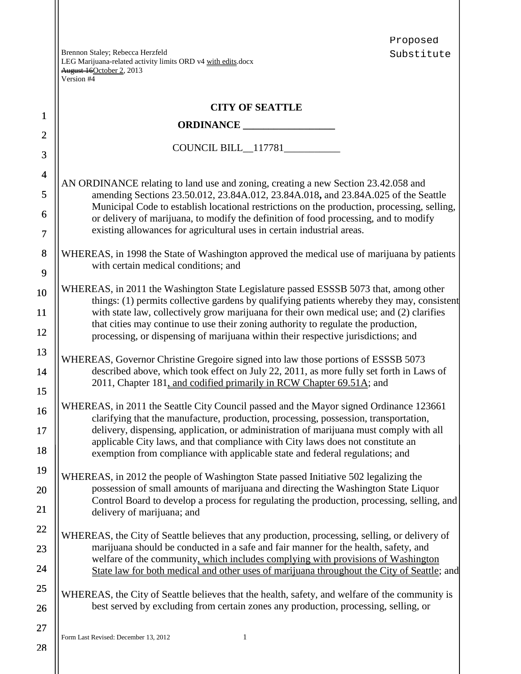Proposed Substitute

|                | Version #4                                                                                                                                                                            |  |  |  |  |  |  |
|----------------|---------------------------------------------------------------------------------------------------------------------------------------------------------------------------------------|--|--|--|--|--|--|
|                | <b>CITY OF SEATTLE</b>                                                                                                                                                                |  |  |  |  |  |  |
| $\mathbf{1}$   |                                                                                                                                                                                       |  |  |  |  |  |  |
| $\overline{2}$ | COUNCIL BILL_117781__________                                                                                                                                                         |  |  |  |  |  |  |
| 3              |                                                                                                                                                                                       |  |  |  |  |  |  |
| $\overline{4}$ | AN ORDINANCE relating to land use and zoning, creating a new Section 23.42.058 and                                                                                                    |  |  |  |  |  |  |
| 5              | amending Sections 23.50.012, 23.84A.012, 23.84A.018, and 23.84A.025 of the Seattle<br>Municipal Code to establish locational restrictions on the production, processing, selling,     |  |  |  |  |  |  |
| 6              | or delivery of marijuana, to modify the definition of food processing, and to modify                                                                                                  |  |  |  |  |  |  |
| $\tau$         | existing allowances for agricultural uses in certain industrial areas.                                                                                                                |  |  |  |  |  |  |
| $\bf 8$        | WHEREAS, in 1998 the State of Washington approved the medical use of marijuana by patients<br>with certain medical conditions; and                                                    |  |  |  |  |  |  |
| 9              |                                                                                                                                                                                       |  |  |  |  |  |  |
| 10             | WHEREAS, in 2011 the Washington State Legislature passed ESSSB 5073 that, among other<br>things: (1) permits collective gardens by qualifying patients whereby they may, consistent   |  |  |  |  |  |  |
| 11             | with state law, collectively grow marijuana for their own medical use; and (2) clarifies<br>that cities may continue to use their zoning authority to regulate the production,        |  |  |  |  |  |  |
| 12             | processing, or dispensing of marijuana within their respective jurisdictions; and                                                                                                     |  |  |  |  |  |  |
| 13             | WHEREAS, Governor Christine Gregoire signed into law those portions of ESSSB 5073                                                                                                     |  |  |  |  |  |  |
| 14<br>15       | described above, which took effect on July 22, 2011, as more fully set forth in Laws of<br>2011, Chapter 181, and codified primarily in RCW Chapter 69.51A; and                       |  |  |  |  |  |  |
| 16             | WHEREAS, in 2011 the Seattle City Council passed and the Mayor signed Ordinance 123661                                                                                                |  |  |  |  |  |  |
| 17             | clarifying that the manufacture, production, processing, possession, transportation,<br>delivery, dispensing, application, or administration of marijuana must comply with all        |  |  |  |  |  |  |
| 18             | applicable City laws, and that compliance with City laws does not constitute an<br>exemption from compliance with applicable state and federal regulations; and                       |  |  |  |  |  |  |
| 19             | WHEREAS, in 2012 the people of Washington State passed Initiative 502 legalizing the                                                                                                  |  |  |  |  |  |  |
| 20             | possession of small amounts of marijuana and directing the Washington State Liquor                                                                                                    |  |  |  |  |  |  |
| 21             | Control Board to develop a process for regulating the production, processing, selling, and<br>delivery of marijuana; and                                                              |  |  |  |  |  |  |
| 22             | WHEREAS, the City of Seattle believes that any production, processing, selling, or delivery of                                                                                        |  |  |  |  |  |  |
| 23             | marijuana should be conducted in a safe and fair manner for the health, safety, and                                                                                                   |  |  |  |  |  |  |
| 24             | welfare of the community, which includes complying with provisions of Washington<br>State law for both medical and other uses of marijuana throughout the City of Seattle; and        |  |  |  |  |  |  |
| 25<br>26       | WHEREAS, the City of Seattle believes that the health, safety, and welfare of the community is<br>best served by excluding from certain zones any production, processing, selling, or |  |  |  |  |  |  |
| 27             |                                                                                                                                                                                       |  |  |  |  |  |  |
|                | Form Last Revised: December 13, 2012<br>1                                                                                                                                             |  |  |  |  |  |  |
| 28             |                                                                                                                                                                                       |  |  |  |  |  |  |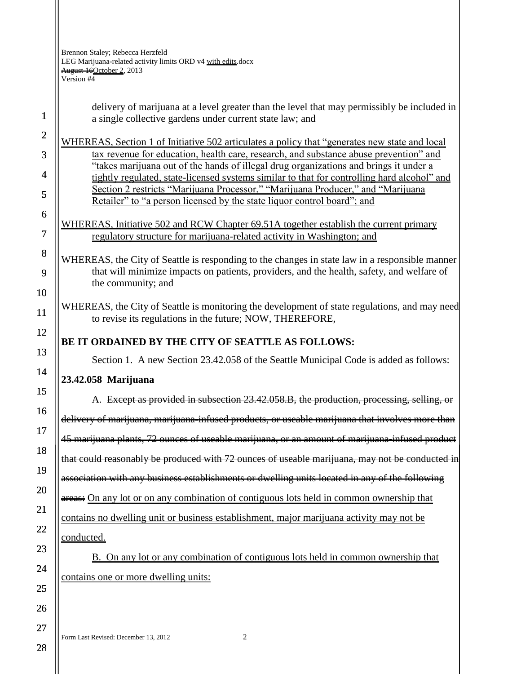> delivery of marijuana at a level greater than the level that may permissibly be included in a single collective gardens under current state law; and

WHEREAS, Section 1 of Initiative 502 articulates a policy that "generates new state and local tax revenue for education, health care, research, and substance abuse prevention" and "takes marijuana out of the hands of illegal drug organizations and brings it under a tightly regulated, state-licensed systems similar to that for controlling hard alcohol" and Section 2 restricts "Marijuana Processor," "Marijuana Producer," and "Marijuana Retailer" to "a person licensed by the state liquor control board"; and

WHEREAS, Initiative 502 and RCW Chapter 69.51A together establish the current primary regulatory structure for marijuana-related activity in Washington; and

WHEREAS, the City of Seattle is responding to the changes in state law in a responsible manner that will minimize impacts on patients, providers, and the health, safety, and welfare of the community; and

WHEREAS, the City of Seattle is monitoring the development of state regulations, and may need to revise its regulations in the future; NOW, THEREFORE,

## **BE IT ORDAINED BY THE CITY OF SEATTLE AS FOLLOWS:**

Section 1. A new Section 23.42.058 of the Seattle Municipal Code is added as follows:

## **23.42.058 Marijuana**

A. Except as provided in subsection 23.42.058.B, the production, processing, selling, or delivery of marijuana, marijuana-infused products, or useable marijuana that involves more than 45 marijuana plants, 72 ounces of useable marijuana, or an amount of marijuana-infused product that could reasonably be produced with 72 ounces of useable marijuana, may not be conducted in association with any business establishments or dwelling units located in any of the following areas: On any lot or on any combination of contiguous lots held in common ownership that contains no dwelling unit or business establishment, major marijuana activity may not be conducted.

B. On any lot or any combination of contiguous lots held in common ownership that contains one or more dwelling units:

Form Last Revised: December 13, 2012 2

28

27

1

2

3

4

5

6

7

8

9

10

11

12

13

14

15

16

17

18

19

20

21

22

23

24

25

26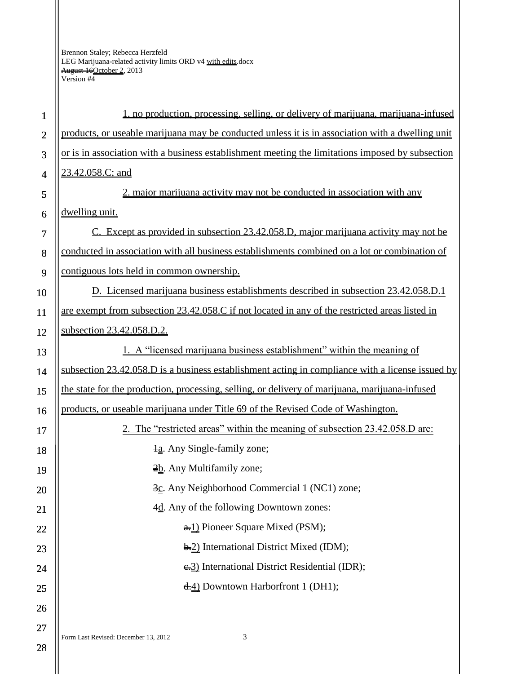| $\mathbf{1}$   | no production, processing, selling, or delivery of marijuana, marijuana-infused                  |
|----------------|--------------------------------------------------------------------------------------------------|
| $\overline{2}$ | products, or useable marijuana may be conducted unless it is in association with a dwelling unit |
| 3              | or is in association with a business establishment meeting the limitations imposed by subsection |
| $\overline{4}$ | 23.42.058.C; and                                                                                 |
| 5              | 2. major marijuana activity may not be conducted in association with any                         |
| 6              | dwelling unit.                                                                                   |
| $\tau$         | C. Except as provided in subsection 23.42.058.D, major marijuana activity may not be             |
| 8              | conducted in association with all business establishments combined on a lot or combination of    |
| 9              | contiguous lots held in common ownership.                                                        |
| 10             | D. Licensed marijuana business establishments described in subsection 23.42.058.D.1              |
| 11             | are exempt from subsection 23.42.058.C if not located in any of the restricted areas listed in   |
| 12             | subsection 23.42.058.D.2.                                                                        |
| 13             | 1. A "licensed marijuana business establishment" within the meaning of                           |
| 14             | subsection 23.42.058.D is a business establishment acting in compliance with a license issued by |
| 15             | the state for the production, processing, selling, or delivery of marijuana, marijuana-infused   |
| 16             | products, or useable marijuana under Title 69 of the Revised Code of Washington.                 |
| 17             | The "restricted areas" within the meaning of subsection 23.42.058.D are:                         |
| 18             | $\frac{1}{2}a$ . Any Single-family zone;                                                         |
| 19             | $\frac{2b}{2}$ . Any Multifamily zone;                                                           |
| 20             | 3c. Any Neighborhood Commercial 1 (NC1) zone;                                                    |
| 21             | 4d. Any of the following Downtown zones:                                                         |
| 22             | $\frac{1}{2}$ Pioneer Square Mixed (PSM);                                                        |
| 23             | $\frac{1}{2}$ International District Mixed (IDM);                                                |
| 24             | $\div 3$ ) International District Residential (IDR);                                             |
| 25             | $\frac{1}{2}$ Downtown Harbor front 1 (DH1);                                                     |
| 26             |                                                                                                  |
| 27             |                                                                                                  |
| 28             | 3<br>Form Last Revised: December 13, 2012                                                        |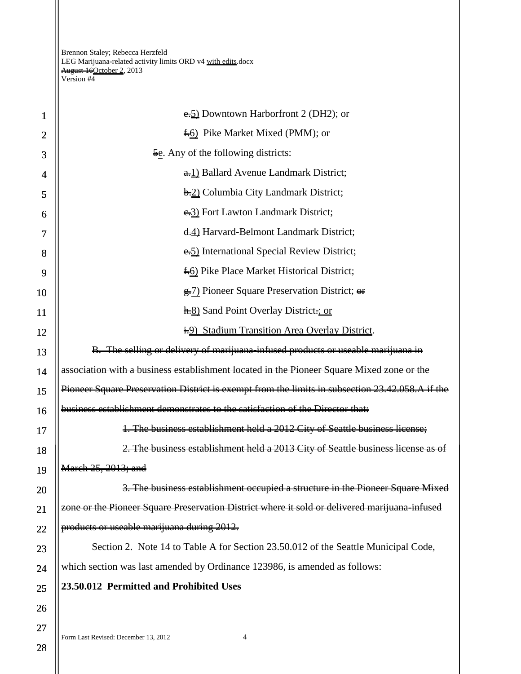| $\mathbf{1}$   | $\epsilon$ Downtown Harborfront 2 (DH2); or                                                     |  |  |  |
|----------------|-------------------------------------------------------------------------------------------------|--|--|--|
| $\overline{2}$ | <b>f.</b> 6) Pike Market Mixed (PMM); or                                                        |  |  |  |
| 3              | $\frac{5e}{2}$ . Any of the following districts:                                                |  |  |  |
| 4              | $\frac{1}{2}$ Ballard Avenue Landmark District;                                                 |  |  |  |
| 5              | <b>b.2</b> ) Columbia City Landmark District;                                                   |  |  |  |
| 6              | e.3) Fort Lawton Landmark District;                                                             |  |  |  |
| 7              | 4.4) Harvard-Belmont Landmark District;                                                         |  |  |  |
| 8              | e. 5) International Special Review District;                                                    |  |  |  |
| 9              | <b>f.6</b> ) Pike Place Market Historical District;                                             |  |  |  |
| 10             | <del>g.</del> 7) Pioneer Square Preservation District; <del>or</del>                            |  |  |  |
| 11             | <b>h</b> =8) Sand Point Overlay District=; or                                                   |  |  |  |
| 12             | i.9) Stadium Transition Area Overlay District.                                                  |  |  |  |
| 13             | B. The selling or delivery of marijuana-infused products or useable marijuana in                |  |  |  |
| 14             | association with a business establishment located in the Pioneer Square Mixed zone or the       |  |  |  |
| 15             | Pioneer Square Preservation District is exempt from the limits in subsection 23.42.058.A if the |  |  |  |
| 16             | business establishment demonstrates to the satisfaction of the Director that:                   |  |  |  |
| 17             | 1. The business establishment held a 2012 City of Seattle business license;                     |  |  |  |
| 18             | 2. The business establishment held a 2013 City of Seattle business license as of                |  |  |  |
| 19             | <del>March 25, 2013; and</del>                                                                  |  |  |  |
| 20             | 3. The business establishment occupied a structure in the Pioneer Square Mixed                  |  |  |  |
| 21             | zone or the Pioneer Square Preservation District where it sold or delivered marijuana-infused   |  |  |  |
| 22             | products or uscable marijuana during 2012.                                                      |  |  |  |
| 23             | Section 2. Note 14 to Table A for Section 23.50.012 of the Seattle Municipal Code,              |  |  |  |
| 24             | which section was last amended by Ordinance 123986, is amended as follows:                      |  |  |  |
| 25             | 23.50.012 Permitted and Prohibited Uses                                                         |  |  |  |
| 26             |                                                                                                 |  |  |  |
| 27             |                                                                                                 |  |  |  |
|                | Form Last Revised: December 13, 2012<br>4                                                       |  |  |  |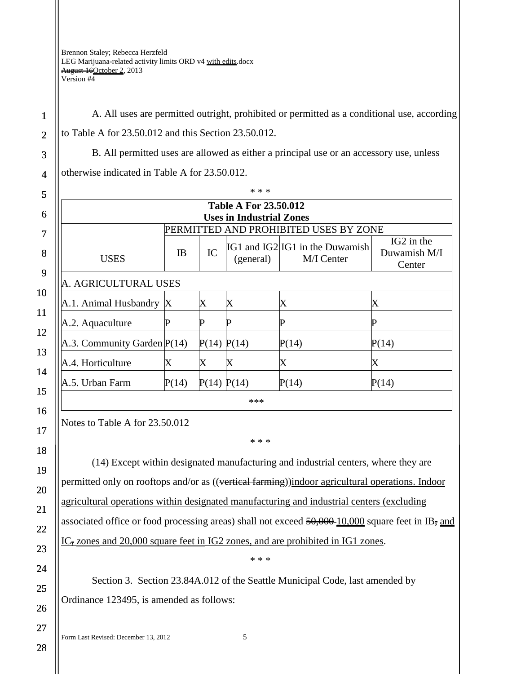1 2 3

4

5

6

7

8

9

10

11

12

13

14

15

16

17

A. All uses are permitted outright, prohibited or permitted as a conditional use, according to Table A for 23.50.012 and this Section 23.50.012.

B. All permitted uses are allowed as either a principal use or an accessory use, unless

otherwise indicated in Table A for 23.50.012.

| <b>Table A For 23.50.012</b>          |       |             |           |                                               |                                                  |  |  |
|---------------------------------------|-------|-------------|-----------|-----------------------------------------------|--------------------------------------------------|--|--|
| <b>Uses in Industrial Zones</b>       |       |             |           |                                               |                                                  |  |  |
| PERMITTED AND PROHIBITED USES BY ZONE |       |             |           |                                               |                                                  |  |  |
| <b>USES</b>                           | IB    | IC          | (general) | IG1 and IG2 IG1 in the Duwamish<br>M/I Center | IG <sub>2</sub> in the<br>Duwamish M/I<br>Center |  |  |
| A. AGRICULTURAL USES                  |       |             |           |                                               |                                                  |  |  |
| $A.1.$ Animal Husbandry $X$           |       | X           | $\rm X$   | X                                             | X                                                |  |  |
| A.2. Aquaculture                      |       |             |           |                                               | р                                                |  |  |
| A.3. Community Garden $P(14)$         |       | P(14) P(14) |           | P(14)                                         | P(14)                                            |  |  |
| A.4. Horticulture                     | X     | X           | Χ         | X                                             | $\boldsymbol{\mathrm{X}}$                        |  |  |
| A.5. Urban Farm                       | P(14) | P(14) P(14) |           | P(14)                                         | P(14)                                            |  |  |

Notes to Table A for 23.50.012

(14) Except within designated manufacturing and industrial centers, where they are permitted only on rooftops and/or as ((vertical farming))indoor agricultural operations. Indoor agricultural operations within designated manufacturing and industrial centers (excluding associated office or food processing areas) shall not exceed  $\frac{50,000}{10,000}$  square feet in IB, and  $IC_{\overline{z}}$  zones and 20,000 square feet in IG2 zones, and are prohibited in IG1 zones.

\* \* \*

\* \* \*

Section 3. Section 23.84A.012 of the Seattle Municipal Code, last amended by Ordinance 123495, is amended as follows:

Form Last Revised: December 13, 2012 5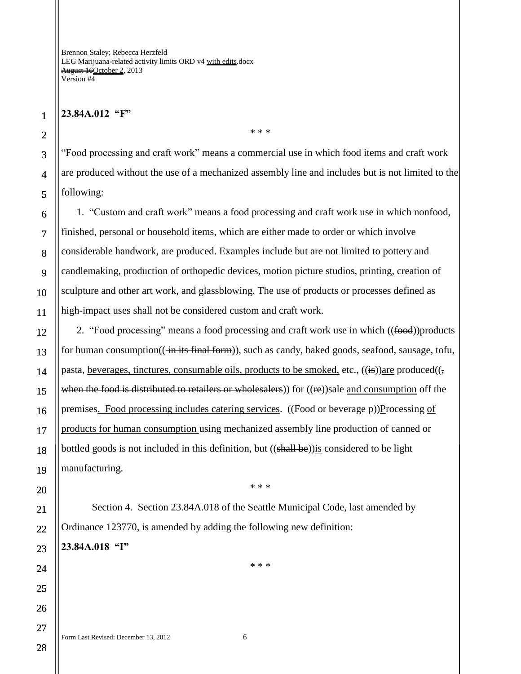## **23.84A.012 "F"**

1

"Food processing and craft work" means a commercial use in which food items and craft work are produced without the use of a mechanized assembly line and includes but is not limited to the following:

\* \* \*

1. "Custom and craft work" means a food processing and craft work use in which nonfood, finished, personal or household items, which are either made to order or which involve considerable handwork, are produced. Examples include but are not limited to pottery and candlemaking, production of orthopedic devices, motion picture studios, printing, creation of sculpture and other art work, and glassblowing. The use of products or processes defined as high-impact uses shall not be considered custom and craft work.

2. "Food processing" means a food processing and craft work use in which ((food))products for human consumption(( $\frac{1}{n}$  its final form)), such as candy, baked goods, seafood, sausage, tofu, pasta, beverages, tinctures, consumable oils, products to be smoked, etc.,  $((i)$ are produced $((,$ when the food is distributed to retailers or wholesalers) for  $((re))$ sale and consumption off the premises. Food processing includes catering services.  $((\text{Food or betweenge}-\rho))$ Processing of products for human consumption using mechanized assembly line production of canned or bottled goods is not included in this definition, but  $((\text{shall be}))$  is considered to be light manufacturing.

Section 4. Section 23.84A.018 of the Seattle Municipal Code, last amended by Ordinance 123770, is amended by adding the following new definition: **23.84A.018 "I"**

\* \* \*

\* \* \*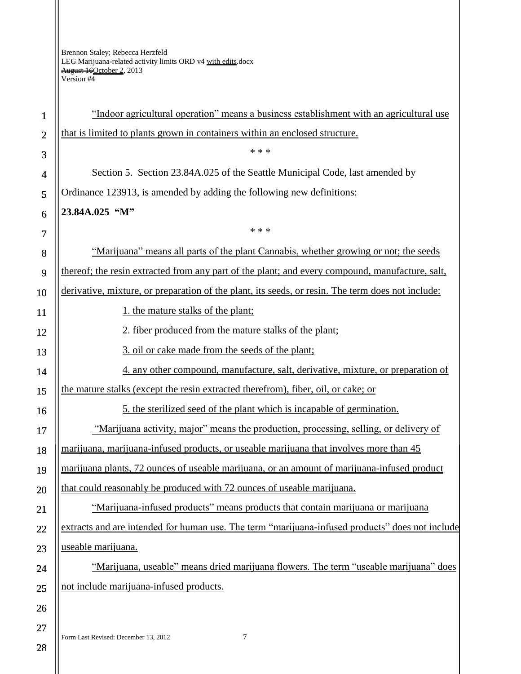| $\mathbf{1}$   | "Indoor agricultural operation" means a business establishment with an agricultural use           |
|----------------|---------------------------------------------------------------------------------------------------|
| $\overline{2}$ | that is limited to plants grown in containers within an enclosed structure.                       |
| 3              | * * *                                                                                             |
| 4              | Section 5. Section 23.84A.025 of the Seattle Municipal Code, last amended by                      |
| 5              | Ordinance 123913, is amended by adding the following new definitions:                             |
| 6              | 23.84A.025 "M"                                                                                    |
| 7              | * * *                                                                                             |
| 8              | "Marijuana" means all parts of the plant Cannabis, whether growing or not; the seeds              |
| 9              | thereof; the resin extracted from any part of the plant; and every compound, manufacture, salt,   |
| 10             | derivative, mixture, or preparation of the plant, its seeds, or resin. The term does not include: |
| 11             | 1. the mature stalks of the plant;                                                                |
| 12             | 2. fiber produced from the mature stalks of the plant;                                            |
| 13             | 3. oil or cake made from the seeds of the plant;                                                  |
| 14             | 4. any other compound, manufacture, salt, derivative, mixture, or preparation of                  |
| 15             | the mature stalks (except the resin extracted therefrom), fiber, oil, or cake; or                 |
| 16             | 5. the sterilized seed of the plant which is incapable of germination.                            |
| 17             | "Marijuana activity, major" means the production, processing, selling, or delivery of             |
| 18             | marijuana, marijuana-infused products, or useable marijuana that involves more than 45            |
| 19             | marijuana plants, 72 ounces of useable marijuana, or an amount of marijuana-infused product       |
| 20             | that could reasonably be produced with 72 ounces of useable marijuana.                            |
| 21             | "Marijuana-infused products" means products that contain marijuana or marijuana                   |
| 22             | extracts and are intended for human use. The term "marijuana-infused products" does not include   |
| 23             | useable marijuana.                                                                                |
| 24             | "Marijuana, useable" means dried marijuana flowers. The term "useable marijuana" does             |
| 25             | not include marijuana-infused products.                                                           |
| 26             |                                                                                                   |
| 27             | Form Last Revised: December 13, 2012<br>7                                                         |
| 28             |                                                                                                   |
|                |                                                                                                   |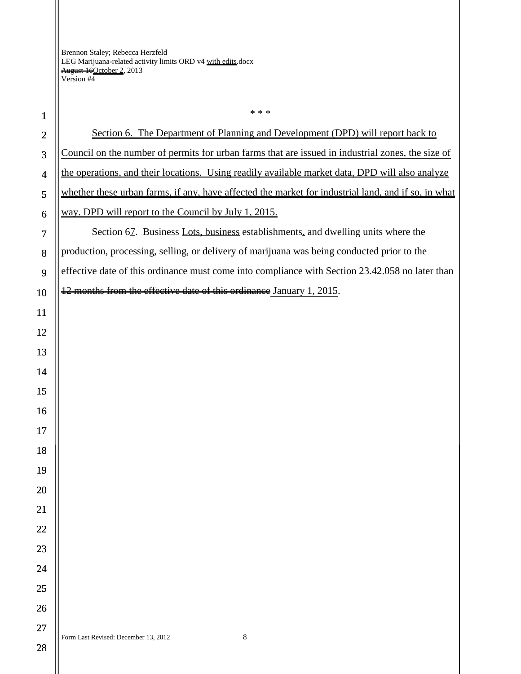| $\mathbf{1}$   | * * *                                                                                               |
|----------------|-----------------------------------------------------------------------------------------------------|
| $\mathbf{2}$   | Section 6. The Department of Planning and Development (DPD) will report back to                     |
| 3              | Council on the number of permits for urban farms that are issued in industrial zones, the size of   |
| $\overline{4}$ | the operations, and their locations. Using readily available market data, DPD will also analyze     |
| 5              | whether these urban farms, if any, have affected the market for industrial land, and if so, in what |
| 6              | way. DPD will report to the Council by July 1, 2015.                                                |
| $\tau$         | Section 67. Business Lots, business establishments, and dwelling units where the                    |
| 8              | production, processing, selling, or delivery of marijuana was being conducted prior to the          |
| 9              | effective date of this ordinance must come into compliance with Section 23.42.058 no later than     |
| 10             | 12 months from the effective date of this ordinance January 1, 2015.                                |
| 11             |                                                                                                     |
| 12             |                                                                                                     |
| 13             |                                                                                                     |
| 14             |                                                                                                     |
| 15             |                                                                                                     |
| 16             |                                                                                                     |
| 17             |                                                                                                     |
| 18             |                                                                                                     |
| 19             |                                                                                                     |
| 20             |                                                                                                     |
| 21             |                                                                                                     |
| 22             |                                                                                                     |
| 23             |                                                                                                     |
| 24             |                                                                                                     |
| 25             |                                                                                                     |
| 26             |                                                                                                     |
| 27             | Form Last Revised: December 13, 2012<br>8                                                           |
| 28             |                                                                                                     |
|                |                                                                                                     |